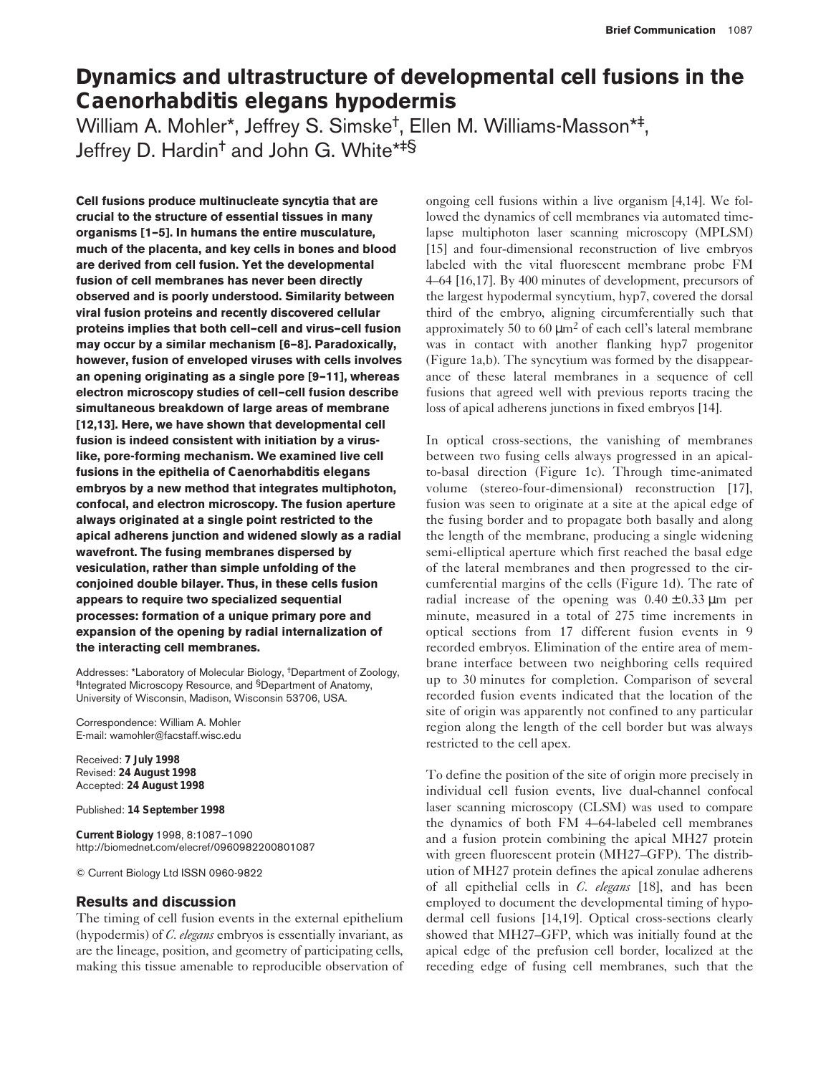# **Dynamics and ultrastructure of developmental cell fusions in the** *Caenorhabditis elegans* **hypodermis**

William A. Mohler\*, Jeffrey S. Simske†, Ellen M. Williams-Masson\*‡, Jeffrey D. Hardin† and John G. White\*‡§

**Cell fusions produce multinucleate syncytia that are crucial to the structure of essential tissues in many organisms [1–5]. In humans the entire musculature, much of the placenta, and key cells in bones and blood are derived from cell fusion. Yet the developmental fusion of cell membranes has never been directly observed and is poorly understood. Similarity between viral fusion proteins and recently discovered cellular proteins implies that both cell–cell and virus–cell fusion may occur by a similar mechanism [6–8]. Paradoxically, however, fusion of enveloped viruses with cells involves an opening originating as a single pore [9–11], whereas electron microscopy studies of cell–cell fusion describe simultaneous breakdown of large areas of membrane [12,13]. Here, we have shown that developmental cell fusion is indeed consistent with initiation by a viruslike, pore-forming mechanism. We examined live cell fusions in the epithelia of** *Caenorhabditis elegans* **embryos by a new method that integrates multiphoton, confocal, and electron microscopy. The fusion aperture always originated at a single point restricted to the apical adherens junction and widened slowly as a radial wavefront. The fusing membranes dispersed by vesiculation, rather than simple unfolding of the conjoined double bilayer. Thus, in these cells fusion appears to require two specialized sequential processes: formation of a unique primary pore and expansion of the opening by radial internalization of the interacting cell membranes.**

Addresses: \*Laboratory of Molecular Biology, †Department of Zoology, ‡Integrated Microscopy Resource, and §Department of Anatomy, University of Wisconsin, Madison, Wisconsin 53706, USA.

Correspondence: William A. Mohler E-mail: wamohler@facstaff.wisc.edu

Received: **7 July 1998** Revised: **24 August 1998** Accepted: **24 August 1998**

Published: **14 September 1998**

**Current Biology** 1998, 8:1087–1090 http://biomednet.com/elecref/0960982200801087

© Current Biology Ltd ISSN 0960-9822

#### **Results and discussion**

The timing of cell fusion events in the external epithelium (hypodermis) of *C. elegans* embryos is essentially invariant, as are the lineage, position, and geometry of participating cells, making this tissue amenable to reproducible observation of

ongoing cell fusions within a live organism [4,14]. We followed the dynamics of cell membranes via automated timelapse multiphoton laser scanning microscopy (MPLSM) [15] and four-dimensional reconstruction of live embryos labeled with the vital fluorescent membrane probe FM 4–64 [16,17]. By 400 minutes of development, precursors of the largest hypodermal syncytium, hyp7, covered the dorsal third of the embryo, aligning circumferentially such that approximately 50 to 60  $\mu$ m<sup>2</sup> of each cell's lateral membrane was in contact with another flanking hyp7 progenitor (Figure 1a,b). The syncytium was formed by the disappearance of these lateral membranes in a sequence of cell fusions that agreed well with previous reports tracing the loss of apical adherens junctions in fixed embryos [14].

In optical cross-sections, the vanishing of membranes between two fusing cells always progressed in an apicalto-basal direction (Figure 1c). Through time-animated volume (stereo-four-dimensional) reconstruction [17], fusion was seen to originate at a site at the apical edge of the fusing border and to propagate both basally and along the length of the membrane, producing a single widening semi-elliptical aperture which first reached the basal edge of the lateral membranes and then progressed to the circumferential margins of the cells (Figure 1d). The rate of radial increase of the opening was  $0.40 \pm 0.33 \,\mu m$  per minute, measured in a total of 275 time increments in optical sections from 17 different fusion events in 9 recorded embryos. Elimination of the entire area of membrane interface between two neighboring cells required up to 30 minutes for completion. Comparison of several recorded fusion events indicated that the location of the site of origin was apparently not confined to any particular region along the length of the cell border but was always restricted to the cell apex.

To define the position of the site of origin more precisely in individual cell fusion events, live dual-channel confocal laser scanning microscopy (CLSM) was used to compare the dynamics of both FM 4–64-labeled cell membranes and a fusion protein combining the apical MH27 protein with green fluorescent protein (MH27–GFP). The distribution of MH27 protein defines the apical zonulae adherens of all epithelial cells in *C. elegans* [18], and has been employed to document the developmental timing of hypodermal cell fusions [14,19]. Optical cross-sections clearly showed that MH27–GFP, which was initially found at the apical edge of the prefusion cell border, localized at the receding edge of fusing cell membranes, such that the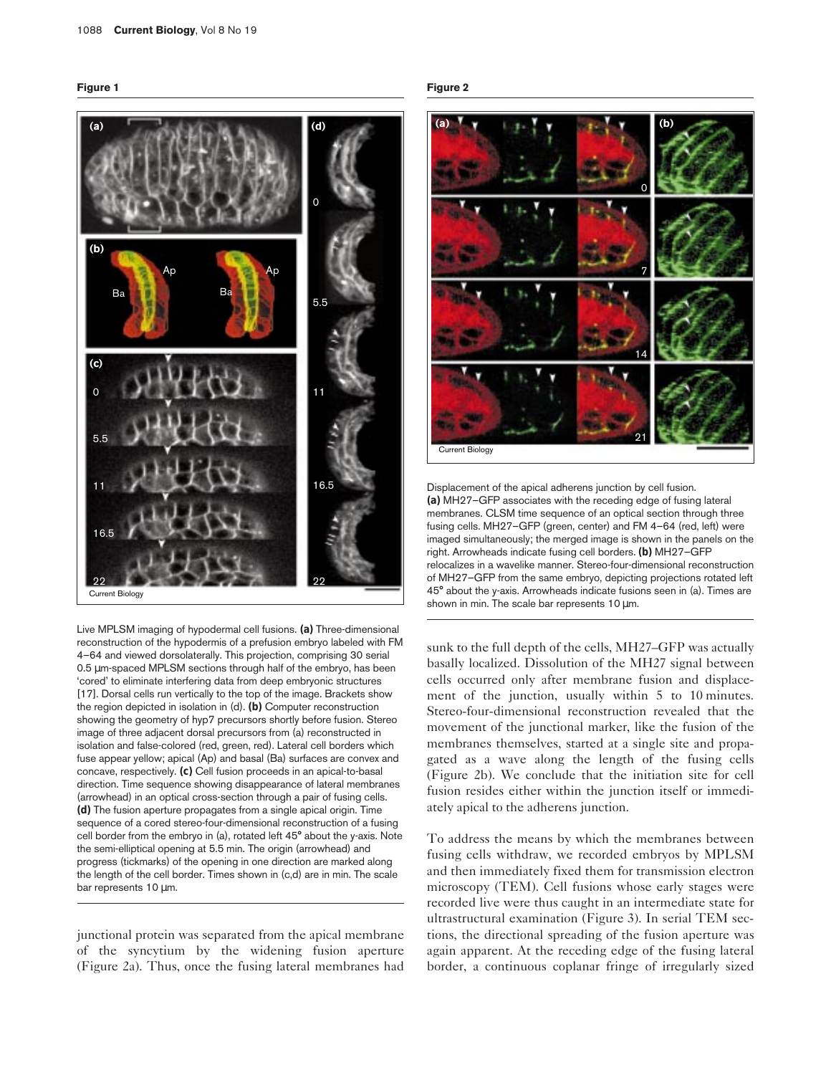



Live MPLSM imaging of hypodermal cell fusions. **(a)** Three-dimensional reconstruction of the hypodermis of a prefusion embryo labeled with FM 4–64 and viewed dorsolaterally. This projection, comprising 30 serial 0.5 µm-spaced MPLSM sections through half of the embryo, has been 'cored' to eliminate interfering data from deep embryonic structures [17]. Dorsal cells run vertically to the top of the image. Brackets show the region depicted in isolation in (d). **(b)** Computer reconstruction showing the geometry of hyp7 precursors shortly before fusion. Stereo image of three adjacent dorsal precursors from (a) reconstructed in isolation and false-colored (red, green, red). Lateral cell borders which fuse appear yellow; apical (Ap) and basal (Ba) surfaces are convex and concave, respectively. **(c)** Cell fusion proceeds in an apical-to-basal direction. Time sequence showing disappearance of lateral membranes (arrowhead) in an optical cross-section through a pair of fusing cells. **(d)** The fusion aperture propagates from a single apical origin. Time sequence of a cored stereo-four-dimensional reconstruction of a fusing cell border from the embryo in (a), rotated left 45° about the y-axis. Note the semi-elliptical opening at 5.5 min. The origin (arrowhead) and progress (tickmarks) of the opening in one direction are marked along the length of the cell border. Times shown in (c,d) are in min. The scale bar represents 10 µm.

junctional protein was separated from the apical membrane of the syncytium by the widening fusion aperture (Figure 2a). Thus, once the fusing lateral membranes had





Displacement of the apical adherens junction by cell fusion. **(a)** MH27–GFP associates with the receding edge of fusing lateral membranes. CLSM time sequence of an optical section through three fusing cells. MH27–GFP (green, center) and FM 4–64 (red, left) were imaged simultaneously; the merged image is shown in the panels on the right. Arrowheads indicate fusing cell borders. **(b)** MH27–GFP relocalizes in a wavelike manner. Stereo-four-dimensional reconstruction of MH27–GFP from the same embryo, depicting projections rotated left 45° about the y-axis. Arrowheads indicate fusions seen in (a). Times are shown in min. The scale bar represents 10  $\mu$ m.

sunk to the full depth of the cells, MH27–GFP was actually basally localized. Dissolution of the MH27 signal between cells occurred only after membrane fusion and displacement of the junction, usually within 5 to 10 minutes. Stereo-four-dimensional reconstruction revealed that the movement of the junctional marker, like the fusion of the membranes themselves, started at a single site and propagated as a wave along the length of the fusing cells (Figure 2b). We conclude that the initiation site for cell fusion resides either within the junction itself or immediately apical to the adherens junction.

To address the means by which the membranes between fusing cells withdraw, we recorded embryos by MPLSM and then immediately fixed them for transmission electron microscopy (TEM). Cell fusions whose early stages were recorded live were thus caught in an intermediate state for ultrastructural examination (Figure 3). In serial TEM sections, the directional spreading of the fusion aperture was again apparent. At the receding edge of the fusing lateral border, a continuous coplanar fringe of irregularly sized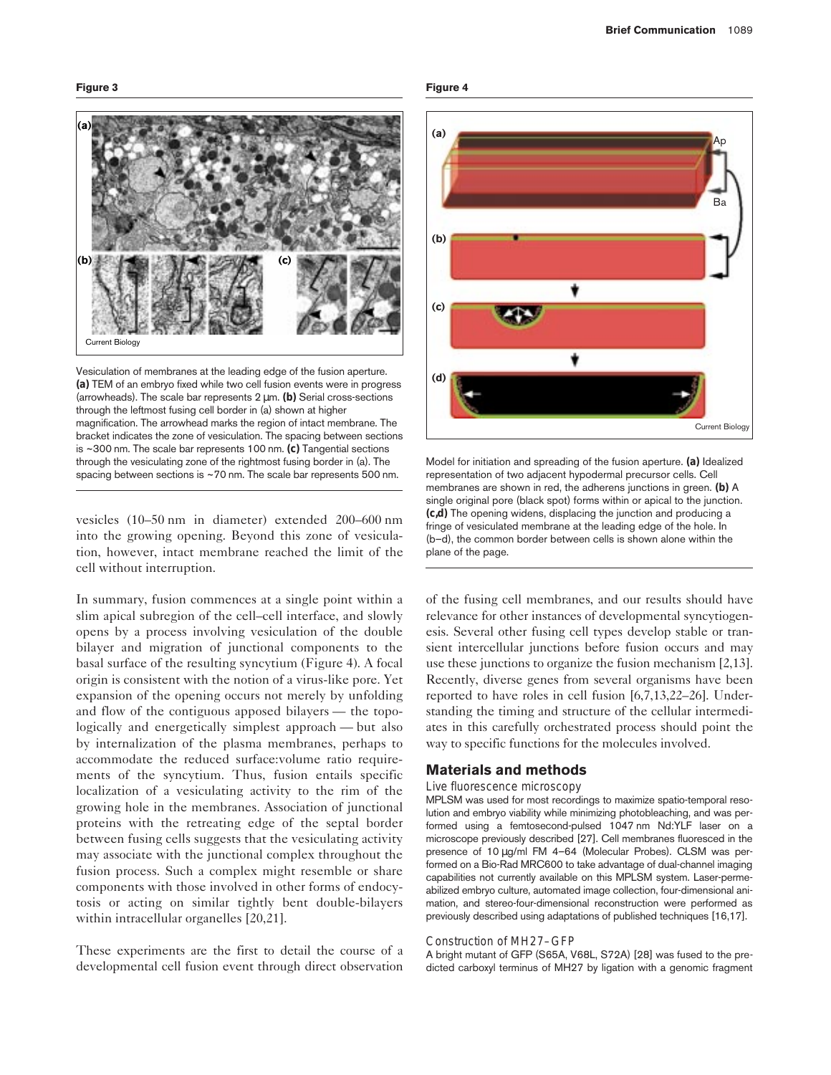**Figure 3**



Vesiculation of membranes at the leading edge of the fusion aperture. **(a)** TEM of an embryo fixed while two cell fusion events were in progress (arrowheads). The scale bar represents 2 µm. **(b)** Serial cross-sections through the leftmost fusing cell border in (a) shown at higher magnification. The arrowhead marks the region of intact membrane. The bracket indicates the zone of vesiculation. The spacing between sections is ~300 nm. The scale bar represents 100 nm. **(c)** Tangential sections through the vesiculating zone of the rightmost fusing border in (a). The spacing between sections is ~70 nm. The scale bar represents 500 nm.

vesicles (10–50 nm in diameter) extended 200–600 nm into the growing opening. Beyond this zone of vesiculation, however, intact membrane reached the limit of the cell without interruption.

In summary, fusion commences at a single point within a slim apical subregion of the cell–cell interface, and slowly opens by a process involving vesiculation of the double bilayer and migration of junctional components to the basal surface of the resulting syncytium (Figure 4). A focal origin is consistent with the notion of a virus-like pore. Yet expansion of the opening occurs not merely by unfolding and flow of the contiguous apposed bilayers — the topologically and energetically simplest approach — but also by internalization of the plasma membranes, perhaps to accommodate the reduced surface:volume ratio requirements of the syncytium. Thus, fusion entails specific localization of a vesiculating activity to the rim of the growing hole in the membranes. Association of junctional proteins with the retreating edge of the septal border between fusing cells suggests that the vesiculating activity may associate with the junctional complex throughout the fusion process. Such a complex might resemble or share components with those involved in other forms of endocytosis or acting on similar tightly bent double-bilayers within intracellular organelles [20,21].

These experiments are the first to detail the course of a developmental cell fusion event through direct observation



**Figure 4**

Model for initiation and spreading of the fusion aperture. **(a)** Idealized representation of two adjacent hypodermal precursor cells. Cell membranes are shown in red, the adherens junctions in green. **(b)** A single original pore (black spot) forms within or apical to the junction. **(c,d)** The opening widens, displacing the junction and producing a fringe of vesiculated membrane at the leading edge of the hole. In (b–d), the common border between cells is shown alone within the plane of the page.

of the fusing cell membranes, and our results should have relevance for other instances of developmental syncytiogenesis. Several other fusing cell types develop stable or transient intercellular junctions before fusion occurs and may use these junctions to organize the fusion mechanism [2,13]. Recently, diverse genes from several organisms have been reported to have roles in cell fusion [6,7,13,22–26]. Understanding the timing and structure of the cellular intermediates in this carefully orchestrated process should point the way to specific functions for the molecules involved.

#### **Materials and methods**

#### *Live fluorescence microscopy*

MPLSM was used for most recordings to maximize spatio-temporal resolution and embryo viability while minimizing photobleaching, and was performed using a femtosecond-pulsed 1047 nm Nd:YLF laser on a microscope previously described [27]. Cell membranes fluoresced in the presence of 10 µg/ml FM 4–64 (Molecular Probes). CLSM was performed on a Bio-Rad MRC600 to take advantage of dual-channel imaging capabilities not currently available on this MPLSM system. Laser-permeabilized embryo culture, automated image collection, four-dimensional animation, and stereo-four-dimensional reconstruction were performed as previously described using adaptations of published techniques [16,17].

#### *Construction of MH27–GFP*

A bright mutant of GFP (S65A, V68L, S72A) [28] was fused to the predicted carboxyl terminus of MH27 by ligation with a genomic fragment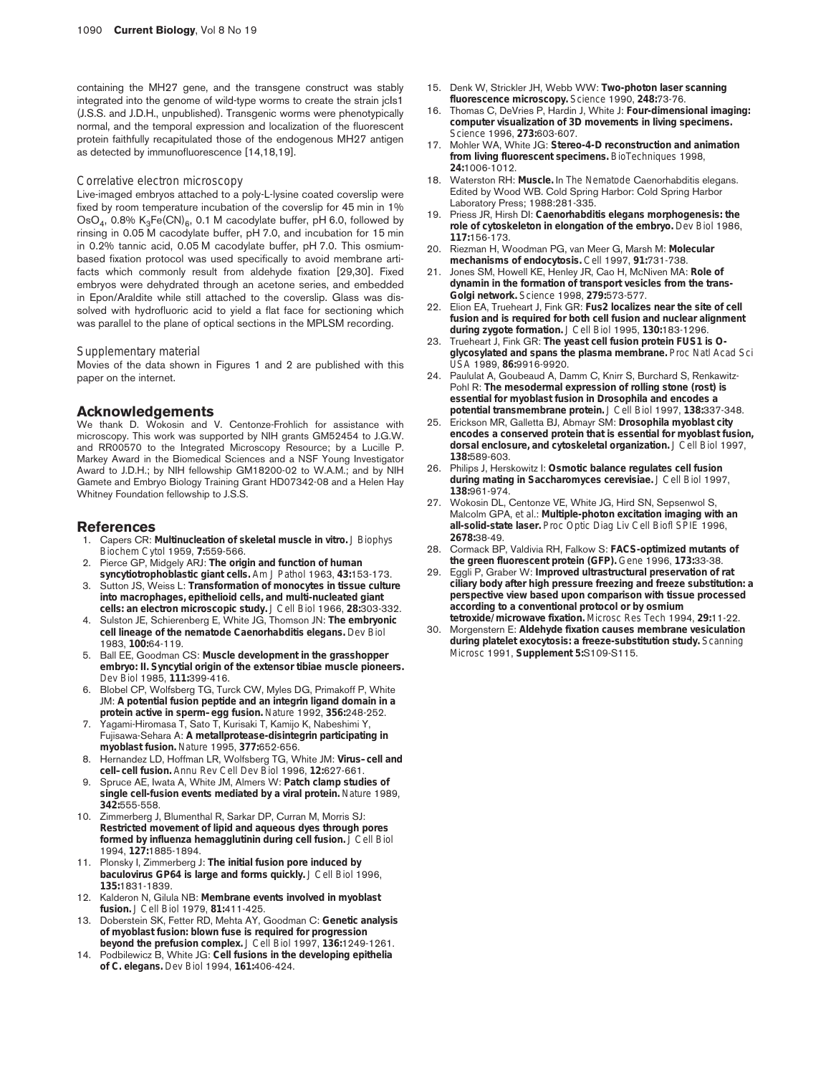containing the MH27 gene, and the transgene construct was stably integrated into the genome of wild-type worms to create the strain jcIs1 (J.S.S. and J.D.H., unpublished). Transgenic worms were phenotypically normal, and the temporal expression and localization of the fluorescent protein faithfully recapitulated those of the endogenous MH27 antigen as detected by immunofluorescence [14,18,19].

#### *Correlative electron microscopy*

Live-imaged embryos attached to a poly-L-lysine coated coverslip were fixed by room temperature incubation of the coverslip for 45 min in 1%  $OsO<sub>4</sub>$ , 0.8% K<sub>3</sub>Fe(CN)<sub>6</sub>, 0.1 M cacodylate buffer, pH 6.0, followed by rinsing in 0.05 M cacodylate buffer, pH 7.0, and incubation for 15 min in 0.2% tannic acid, 0.05 M cacodylate buffer, pH 7.0. This osmiumbased fixation protocol was used specifically to avoid membrane artifacts which commonly result from aldehyde fixation [29,30]. Fixed embryos were dehydrated through an acetone series, and embedded in Epon/Araldite while still attached to the coverslip. Glass was dissolved with hydrofluoric acid to yield a flat face for sectioning which was parallel to the plane of optical sections in the MPLSM recording.

#### *Supplementary material*

Movies of the data shown in Figures 1 and 2 are published with this paper on the internet.

#### **Acknowledgements**

We thank D. Wokosin and V. Centonze-Frohlich for assistance with microscopy. This work was supported by NIH grants GM52454 to J.G.W. and RR00570 to the Integrated Microscopy Resource; by a Lucille P. Markey Award in the Biomedical Sciences and a NSF Young Investigator Award to J.D.H.; by NIH fellowship GM18200-02 to W.A.M.; and by NIH Gamete and Embryo Biology Training Grant HD07342-08 and a Helen Hay Whitney Foundation fellowship to J.S.S.

#### **References**

- 1. Capers CR: **Multinucleation of skeletal muscle** *in vitro***.** *J Biophys Biochem Cytol* 1959, **7:**559-566.
- 2. Pierce GP, Midgely ARJ: **The origin and function of human syncytiotrophoblastic giant cells.** *Am J Pathol* 1963, **43:**153-173.
- 3. Sutton JS, Weiss L: **Transformation of monocytes in tissue culture into macrophages, epithelioid cells, and multi-nucleated giant cells: an electron microscopic study.** *J Cell Biol* 1966, **28:**303-332.
- 4. Sulston JE, Schierenberg E, White JG, Thomson JN: **The embryonic cell lineage of the nematode** *Caenorhabditis elegans***.** *Dev Biol* 1983, **100:**64-119.
- 5. Ball EE, Goodman CS: **Muscle development in the grasshopper embryo: II. Syncytial origin of the extensor tibiae muscle pioneers.** *Dev Biol* 1985, **111:**399-416.
- 6. Blobel CP, Wolfsberg TG, Turck CW, Myles DG, Primakoff P, White JM: **A potential fusion peptide and an integrin ligand domain in a protein active in sperm–egg fusion.** *Nature* 1992, **356:**248-252.
- 7. Yagami-Hiromasa T, Sato T, Kurisaki T, Kamijo K, Nabeshimi Y, Fujisawa-Sehara A: **A metallprotease-disintegrin participating in myoblast fusion.** *Nature* 1995, **377:**652-656.
- 8. Hernandez LD, Hoffman LR, Wolfsberg TG, White JM: **Virus–cell and cell–cell fusion.** *Annu Rev Cell Dev Biol* 1996, **12:**627-661.
- 9. Spruce AE, Iwata A, White JM, Almers W: **Patch clamp studies of single cell-fusion events mediated by a viral protein.** *Nature* 1989, **342:**555-558.
- 10. Zimmerberg J, Blumenthal R, Sarkar DP, Curran M, Morris SJ: **Restricted movement of lipid and aqueous dyes through pores formed by influenza hemagglutinin during cell fusion.** *J Cell Biol* 1994, **127:**1885-1894.
- 11. Plonsky I, Zimmerberg J: **The initial fusion pore induced by baculovirus GP64 is large and forms quickly.** *J Cell Biol* 1996, **135:**1831-1839.
- 12. Kalderon N, Gilula NB: **Membrane events involved in myoblast fusion.** *J Cell Biol* 1979, **81:**411-425.
- 13. Doberstein SK, Fetter RD, Mehta AY, Goodman C: **Genetic analysis of myoblast fusion: blown fuse is required for progression beyond the prefusion complex.** *J Cell Biol* 1997, **136:**1249-1261.
- 14. Podbilewicz B, White JG: **Cell fusions in the developing epithelia of** *C. elegans***.** *Dev Biol* 1994, **161:**406-424.
- 15. Denk W, Strickler JH, Webb WW: **Two-photon laser scanning fluorescence microscopy.** *Science* 1990, **248:**73-76.
- 16. Thomas C, DeVries P, Hardin J, White J: **Four-dimensional imaging: computer visualization of 3D movements in living specimens.** *Science* 1996, **273:**603-607.
- 17. Mohler WA, White JG: **Stereo-4-D reconstruction and animation from living fluorescent specimens.** *BioTechniques* 1998, **24:**1006-1012.
- 18. Waterston RH: **Muscle.** In *The Nematode* Caenorhabditis elegans*.* Edited by Wood WB. Cold Spring Harbor: Cold Spring Harbor Laboratory Press; 1988:281-335.
- 19. Priess JR, Hirsh DI: *Caenorhabditis elegans* **morphogenesis: the role of cytoskeleton in elongation of the embryo.** *Dev Biol* 1986, **117:**156-173.
- 20. Riezman H, Woodman PG, van Meer G, Marsh M: **Molecular mechanisms of endocytosis.** *Cell* 1997, **91:**731-738.
- 21. Jones SM, Howell KE, Henley JR, Cao H, McNiven MA: **Role of dynamin in the formation of transport vesicles from the trans-Golgi network.** *Science* 1998, **279:**573-577.
- 22. Elion EA, Trueheart J, Fink GR: **Fus2 localizes near the site of cell fusion and is required for both cell fusion and nuclear alignment during zygote formation.** *J Cell Biol* 1995, **130:**183-1296.
- 23. Trueheart J, Fink GR: **The yeast cell fusion protein FUS1 is Oglycosylated and spans the plasma membrane.** *Proc Natl Acad Sci USA* 1989, **86:**9916-9920.
- 24. Paululat A, Goubeaud A, Damm C, Knirr S, Burchard S, Renkawitz-Pohl R: **The mesodermal expression of rolling stone (rost) is essential for myoblast fusion in Drosophila and encodes a potential transmembrane protein.** *J Cell Biol* 1997, **138:**337-348.
- 25. Erickson MR, Galletta BJ, Abmayr SM: **Drosophila myoblast city encodes a conserved protein that is essential for myoblast fusion, dorsal enclosure, and cytoskeletal organization.** *J Cell Biol* 1997, **138:**589-603.
- 26. Philips J, Herskowitz I: **Osmotic balance regulates cell fusion during mating in Saccharomyces cerevisiae.** *J Cell Biol* 1997, **138:**961-974.
- 27. Wokosin DL, Centonze VE, White JG, Hird SN, Sepsenwol S, Malcolm GPA, *et al*.: **Multiple-photon excitation imaging with an all-solid-state laser.** *Proc Optic Diag Liv Cell Biofl SPIE* 1996, **2678:**38-49.
- 28. Cormack BP, Valdivia RH, Falkow S: **FACS-optimized mutants of the green fluorescent protein (GFP).** *Gene* 1996, **173:**33-38.
- 29. Eggli P, Graber W: **Improved ultrastructural preservation of rat ciliary body after high pressure freezing and freeze substitution: a perspective view based upon comparison with tissue processed according to a conventional protocol or by osmium tetroxide/microwave fixation.** *Microsc Res Tech* 1994, **29:**11-22.
- 30. Morgenstern E: **Aldehyde fixation causes membrane vesiculation during platelet exocytosis: a freeze-substitution study.** *Scanning Microsc* 1991, **Supplement 5:**S109-S115.